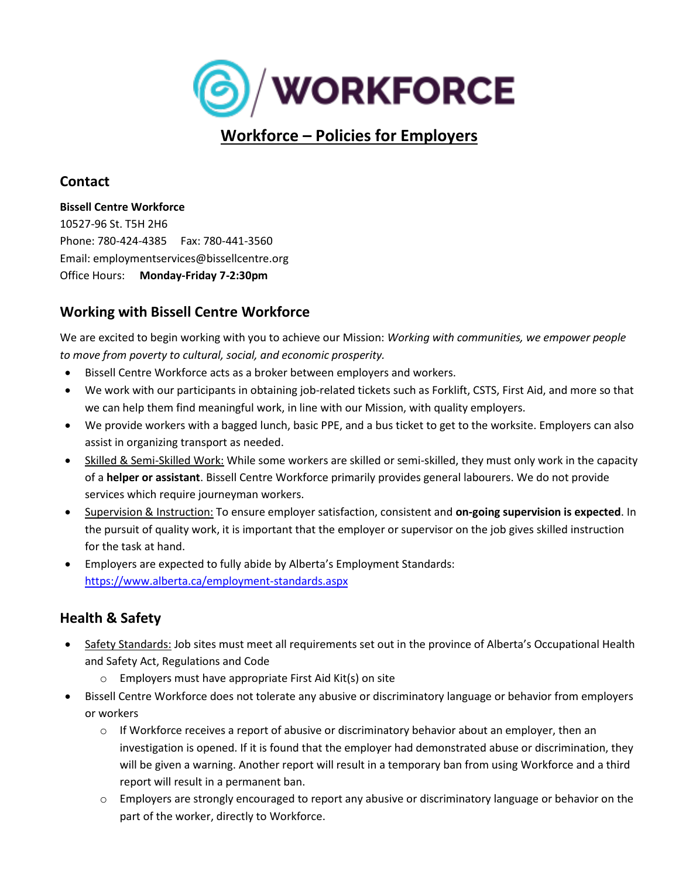

# **Workforce – Policies for Employers**

## **Contact**

#### **Bissell Centre Workforce**

10527-96 St. T5H 2H6 Phone: 780-424-4385 Fax: 780-441-3560 Email: employmentservices@bissellcentre.org Office Hours: **Monday-Friday 7-2:30pm**

## **Working with Bissell Centre Workforce**

We are excited to begin working with you to achieve our Mission: *Working with communities, we empower people to move from poverty to cultural, social, and economic prosperity.*

- Bissell Centre Workforce acts as a broker between employers and workers.
- We work with our participants in obtaining job-related tickets such as Forklift, CSTS, First Aid, and more so that we can help them find meaningful work, in line with our Mission, with quality employers.
- We provide workers with a bagged lunch, basic PPE, and a bus ticket to get to the worksite. Employers can also assist in organizing transport as needed.
- Skilled & Semi-Skilled Work: While some workers are skilled or semi-skilled, they must only work in the capacity of a **helper or assistant**. Bissell Centre Workforce primarily provides general labourers. We do not provide services which require journeyman workers.
- Supervision & Instruction: To ensure employer satisfaction, consistent and **on-going supervision is expected**. In the pursuit of quality work, it is important that the employer or supervisor on the job gives skilled instruction for the task at hand.
- Employers are expected to fully abide by Alberta's Employment Standards: <https://www.alberta.ca/employment-standards.aspx>

## **Health & Safety**

- Safety Standards: Job sites must meet all requirements set out in the province of Alberta's Occupational Health and Safety Act, Regulations and Code
	- o Employers must have appropriate First Aid Kit(s) on site
- Bissell Centre Workforce does not tolerate any abusive or discriminatory language or behavior from employers or workers
	- $\circ$  If Workforce receives a report of abusive or discriminatory behavior about an employer, then an investigation is opened. If it is found that the employer had demonstrated abuse or discrimination, they will be given a warning. Another report will result in a temporary ban from using Workforce and a third report will result in a permanent ban.
	- o Employers are strongly encouraged to report any abusive or discriminatory language or behavior on the part of the worker, directly to Workforce.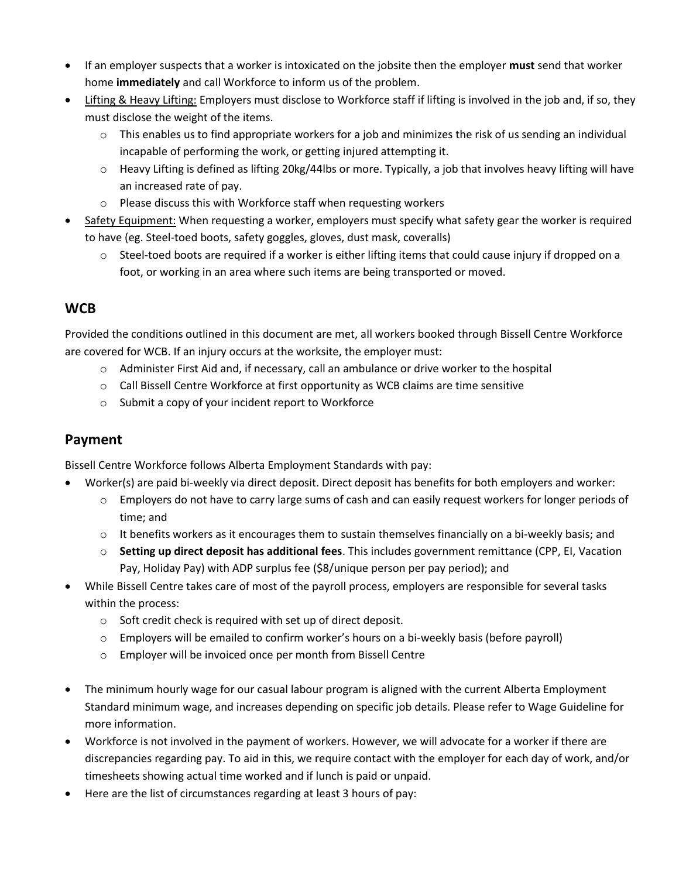- If an employer suspects that a worker is intoxicated on the jobsite then the employer **must** send that worker home **immediately** and call Workforce to inform us of the problem.
- Lifting & Heavy Lifting: Employers must disclose to Workforce staff if lifting is involved in the job and, if so, they must disclose the weight of the items.
	- $\circ$  This enables us to find appropriate workers for a job and minimizes the risk of us sending an individual incapable of performing the work, or getting injured attempting it.
	- $\circ$  Heavy Lifting is defined as lifting 20kg/44lbs or more. Typically, a job that involves heavy lifting will have an increased rate of pay.
	- o Please discuss this with Workforce staff when requesting workers
- Safety Equipment: When requesting a worker, employers must specify what safety gear the worker is required to have (eg. Steel-toed boots, safety goggles, gloves, dust mask, coveralls)
	- $\circ$  Steel-toed boots are required if a worker is either lifting items that could cause injury if dropped on a foot, or working in an area where such items are being transported or moved.

## **WCB**

Provided the conditions outlined in this document are met, all workers booked through Bissell Centre Workforce are covered for WCB. If an injury occurs at the worksite, the employer must:

- $\circ$  Administer First Aid and, if necessary, call an ambulance or drive worker to the hospital
- $\circ$  Call Bissell Centre Workforce at first opportunity as WCB claims are time sensitive
- o Submit a copy of your incident report to Workforce

#### **Payment**

Bissell Centre Workforce follows Alberta Employment Standards with pay:

- Worker(s) are paid bi-weekly via direct deposit. Direct deposit has benefits for both employers and worker:
	- o Employers do not have to carry large sums of cash and can easily request workers for longer periods of time; and
	- $\circ$  It benefits workers as it encourages them to sustain themselves financially on a bi-weekly basis; and
	- o **Setting up direct deposit has additional fees**. This includes government remittance (CPP, EI, Vacation Pay, Holiday Pay) with ADP surplus fee (\$8/unique person per pay period); and
- While Bissell Centre takes care of most of the payroll process, employers are responsible for several tasks within the process:
	- o Soft credit check is required with set up of direct deposit.
	- o Employers will be emailed to confirm worker's hours on a bi-weekly basis (before payroll)
	- o Employer will be invoiced once per month from Bissell Centre
- The minimum hourly wage for our casual labour program is aligned with the current Alberta Employment Standard minimum wage, and increases depending on specific job details. Please refer to Wage Guideline for more information.
- Workforce is not involved in the payment of workers. However, we will advocate for a worker if there are discrepancies regarding pay. To aid in this, we require contact with the employer for each day of work, and/or timesheets showing actual time worked and if lunch is paid or unpaid.
- Here are the list of circumstances regarding at least 3 hours of pay: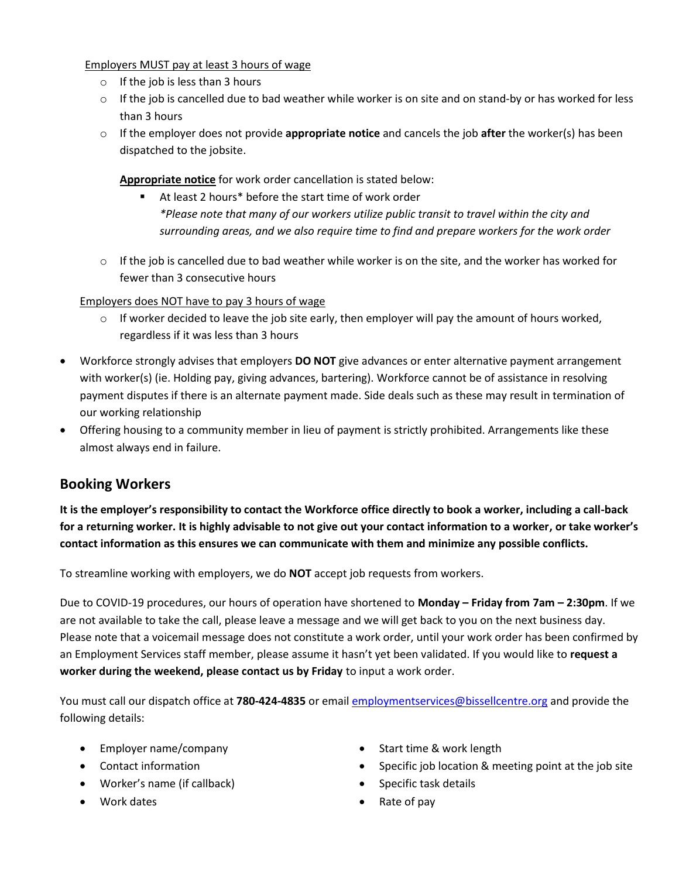Employers MUST pay at least 3 hours of wage

- $\circ$  If the job is less than 3 hours
- $\circ$  If the job is cancelled due to bad weather while worker is on site and on stand-by or has worked for less than 3 hours
- o If the employer does not provide **appropriate notice** and cancels the job **after** the worker(s) has been dispatched to the jobsite.

**Appropriate notice** for work order cancellation is stated below:

- At least 2 hours<sup>\*</sup> before the start time of work order *\*Please note that many of our workers utilize public transit to travel within the city and surrounding areas, and we also require time to find and prepare workers for the work order*
- $\circ$  If the job is cancelled due to bad weather while worker is on the site, and the worker has worked for fewer than 3 consecutive hours

Employers does NOT have to pay 3 hours of wage

- $\circ$  If worker decided to leave the job site early, then employer will pay the amount of hours worked, regardless if it was less than 3 hours
- Workforce strongly advises that employers **DO NOT** give advances or enter alternative payment arrangement with worker(s) (ie. Holding pay, giving advances, bartering). Workforce cannot be of assistance in resolving payment disputes if there is an alternate payment made. Side deals such as these may result in termination of our working relationship
- Offering housing to a community member in lieu of payment is strictly prohibited. Arrangements like these almost always end in failure.

## **Booking Workers**

**It is the employer's responsibility to contact the Workforce office directly to book a worker, including a call-back for a returning worker. It is highly advisable to not give out your contact information to a worker, or take worker's contact information as this ensures we can communicate with them and minimize any possible conflicts.**

To streamline working with employers, we do **NOT** accept job requests from workers.

Due to COVID-19 procedures, our hours of operation have shortened to **Monday – Friday from 7am – 2:30pm**. If we are not available to take the call, please leave a message and we will get back to you on the next business day. Please note that a voicemail message does not constitute a work order, until your work order has been confirmed by an Employment Services staff member, please assume it hasn't yet been validated. If you would like to **request a worker during the weekend, please contact us by Friday** to input a work order.

You must call our dispatch office at **780-424-4835** or emai[l employmentservices@bissellcentre.org](mailto:employmentservices@bissellcentre.org) and provide the following details:

- Employer name/company
- Contact information
- Worker's name (if callback)
- Work dates
- Start time & work length
- Specific job location & meeting point at the job site
- Specific task details
- Rate of pay